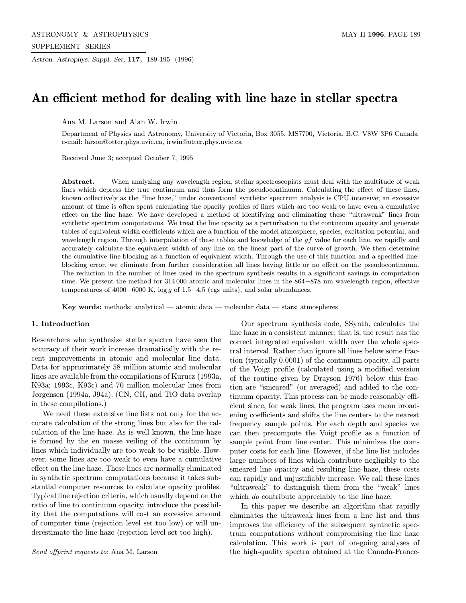Astron. Astrophys. Suppl. Ser. 117, 189-195 (1996)

# An efficient method for dealing with line haze in stellar spectra

Ana M. Larson and Alan W. Irwin

Department of Physics and Astronomy, University of Victoria, Box 3055, MS7700, Victoria, B.C. V8W 3P6 Canada e-mail: larson@otter.phys.uvic.ca, irwin@otter.phys.uvic.ca

Received June 3; accepted October 7, 1995

Abstract. — When analyzing any wavelength region, stellar spectroscopists must deal with the multitude of weak lines which depress the true continuum and thus form the pseudocontinuum. Calculating the effect of these lines, known collectively as the "line haze," under conventional synthetic spectrum analysis is CPU intensive; an excessive amount of time is often spent calculating the opacity profiles of lines which are too weak to have even a cumulative effect on the line haze. We have developed a method of identifying and eliminating these "ultraweak" lines from synthetic spectrum computations. We treat the line opacity as a perturbation to the continuum opacity and generate tables of equivalent width coefficients which are a function of the model atmosphere, species, excitation potential, and wavelength region. Through interpolation of these tables and knowledge of the gf value for each line, we rapidly and accurately calculate the equivalent width of any line on the linear part of the curve of growth. We then determine the cumulative line blocking as a function of equivalent width. Through the use of this function and a specified lineblocking error, we eliminate from further consideration all lines having little or no effect on the pseudocontinuum. The reduction in the number of lines used in the spectrum synthesis results in a significant savings in computation time. We present the method for 314 000 atomic and molecular lines in the 864−878 nm wavelength region, effective temperatures of 4000−6000 K, log g of 1.5−4.5 (cgs units), and solar abundances.

**Key words:** methods: analytical  $-$  atomic data  $-$  molecular data  $-$  stars: atmospheres

# 1. Introduction

Researchers who synthesize stellar spectra have seen the accuracy of their work increase dramatically with the recent improvements in atomic and molecular line data. Data for approximately 58 million atomic and molecular lines are available from the compilations of Kurucz (1993a, K93a; 1993c, K93c) and 70 million molecular lines from Jørgensen (1994a, J94a). (CN, CH, and TiO data overlap in these compilations.)

We need these extensive line lists not only for the accurate calculation of the strong lines but also for the calculation of the line haze. As is well known, the line haze is formed by the en masse veiling of the continuum by lines which individually are too weak to be visible. However, some lines are too weak to even have a cumulative effect on the line haze. These lines are normally eliminated in synthetic spectrum computations because it takes substantial computer resources to calculate opacity profiles. Typical line rejection criteria, which usually depend on the ratio of line to continuum opacity, introduce the possibility that the computations will cost an excessive amount of computer time (rejection level set too low) or will underestimate the line haze (rejection level set too high).

Our spectrum synthesis code, SSynth, calculates the line haze in a consistent manner; that is, the result has the correct integrated equivalent width over the whole spectral interval. Rather than ignore all lines below some fraction (typically 0.0001) of the continuum opacity, all parts of the Voigt profile (calculated using a modified version of the routine given by Drayson 1976) below this fraction are "smeared" (or averaged) and added to the continuum opacity. This process can be made reasonably efficient since, for weak lines, the program uses mean broadening coefficients and shifts the line centers to the nearest frequency sample points. For each depth and species we can then precompute the Voigt profile as a function of sample point from line center. This minimizes the computer costs for each line. However, if the line list includes large numbers of lines which contribute negligibly to the smeared line opacity and resulting line haze, these costs can rapidly and unjustifiably increase. We call these lines "ultraweak" to distinguish them from the "weak" lines which *do* contribute appreciably to the line haze.

In this paper we describe an algorithm that rapidly eliminates the ultraweak lines from a line list and thus improves the efficiency of the subsequent synthetic spectrum computations without compromising the line haze calculation. This work is part of on-going analyses of the high-quality spectra obtained at the Canada-France-

Send offprint requests to: Ana M. Larson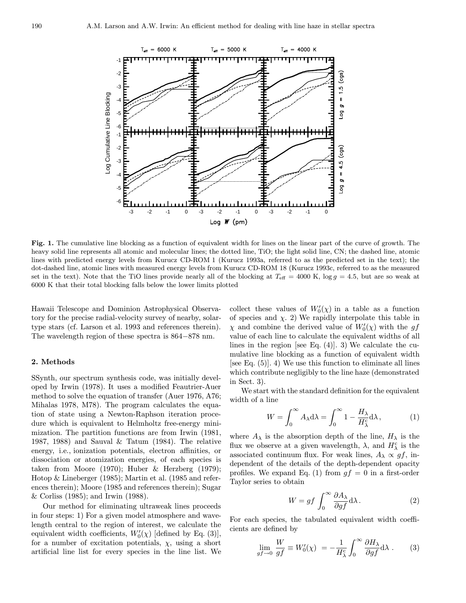

Fig. 1. The cumulative line blocking as a function of equivalent width for lines on the linear part of the curve of growth. The heavy solid line represents all atomic and molecular lines; the dotted line, TiO; the light solid line, CN; the dashed line, atomic lines with predicted energy levels from Kurucz CD-ROM 1 (Kurucz 1993a, referred to as the predicted set in the text); the dot-dashed line, atomic lines with measured energy levels from Kurucz CD-ROM 18 (Kurucz 1993c, referred to as the measured set in the text). Note that the TiO lines provide nearly all of the blocking at  $T_{\text{eff}} = 4000 \text{ K}$ , log  $g = 4.5$ , but are so weak at 6000 K that their total blocking falls below the lower limits plotted

Hawaii Telescope and Dominion Astrophysical Observatory for the precise radial-velocity survey of nearby, solartype stars (cf. Larson et al. 1993 and references therein). The wavelength region of these spectra is 864−878 nm.

# 2. Methods

SSynth, our spectrum synthesis code, was initially developed by Irwin (1978). It uses a modified Feautrier-Auer method to solve the equation of transfer (Auer 1976, A76; Mihalas 1978, M78). The program calculates the equation of state using a Newton-Raphson iteration procedure which is equivalent to Helmholtz free-energy minimization. The partition functions are from Irwin (1981, 1987, 1988) and Sauval & Tatum (1984). The relative energy, i.e., ionization potentials, electron affinities, or dissociation or atomization energies, of each species is taken from Moore (1970); Huber & Herzberg (1979); Hotop & Lineberger (1985); Martin et al. (1985 and references therein); Moore (1985 and references therein); Sugar & Corliss (1985); and Irwin (1988).

Our method for eliminating ultraweak lines proceeds in four steps: 1) For a given model atmosphere and wavelength central to the region of interest, we calculate the equivalent width coefficients,  $W_0'(\chi)$  [defined by Eq. (3)], for a number of excitation potentials,  $\chi$ , using a short artificial line list for every species in the line list. We

collect these values of  $W'_0(\chi)$  in a table as a function of species and  $\chi$ . 2) We rapidly interpolate this table in  $\chi$  and combine the derived value of  $W_0'(\chi)$  with the gf value of each line to calculate the equivalent widths of all lines in the region [see Eq. (4)]. 3) We calculate the cumulative line blocking as a function of equivalent width [see Eq. (5)]. 4) We use this function to eliminate all lines which contribute negligibly to the line haze (demonstrated in Sect. 3).

We start with the standard definition for the equivalent width of a line

$$
W = \int_0^\infty A_\lambda \mathrm{d}\lambda = \int_0^\infty 1 - \frac{H_\lambda}{H_\lambda^c} \mathrm{d}\lambda,\tag{1}
$$

where  $A_{\lambda}$  is the absorption depth of the line,  $H_{\lambda}$  is the flux we observe at a given wavelength,  $\lambda$ , and  $H_{\lambda}^{c}$  is the associated continuum flux. For weak lines,  $A_{\lambda} \propto gf$ , independent of the details of the depth-dependent opacity profiles. We expand Eq. (1) from  $gf = 0$  in a first-order Taylor series to obtain

$$
W = gf \int_0^\infty \frac{\partial A_\lambda}{\partial gf} d\lambda.
$$
 (2)

For each species, the tabulated equivalent width coefficients are defined by

$$
\lim_{gf \to 0} \frac{W}{gf} \equiv W_0'(\chi) = -\frac{1}{H_\lambda^c} \int_0^\infty \frac{\partial H_\lambda}{\partial gf} d\lambda \ . \tag{3}
$$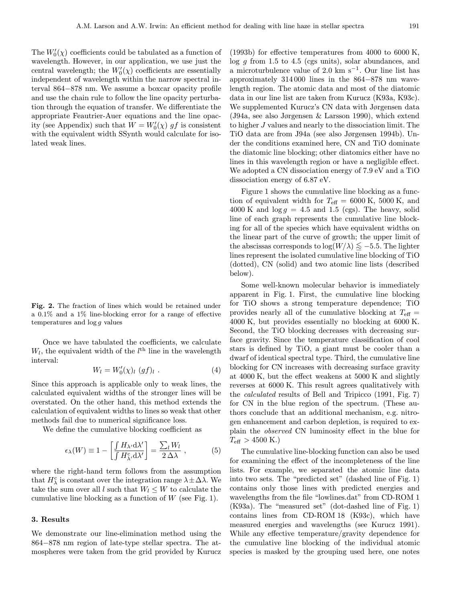The  $W_0'(\chi)$  coefficients could be tabulated as a function of wavelength. However, in our application, we use just the central wavelength; the  $W'_0(\chi)$  coefficients are essentially independent of wavelength within the narrow spectral interval 864−878 nm. We assume a boxcar opacity profile and use the chain rule to follow the line opacity perturbation through the equation of transfer. We differentiate the appropriate Feautrier-Auer equations and the line opacity (see Appendix) such that  $W = W_0'(\chi)$  *gf* is consistent with the equivalent width SSynth would calculate for isolated weak lines.

Fig. 2. The fraction of lines which would be retained under a 0.1% and a 1% line-blocking error for a range of effective temperatures and  $\log g$  values

Once we have tabulated the coefficients, we calculate  $W_l$ , the equivalent width of the  $l^{\text{th}}$  line in the wavelength interval:

$$
W_l = W'_0(\chi)_l \left( gf \right)_l . \tag{4}
$$

Since this approach is applicable only to weak lines, the calculated equivalent widths of the stronger lines will be overstated. On the other hand, this method extends the calculation of equivalent widths to lines so weak that other methods fail due to numerical significance loss.

We define the cumulative blocking coefficient as

$$
\epsilon_{\lambda}(W) \equiv 1 - \left[ \frac{\int H_{\lambda'} d\lambda'}{\int H_{\lambda}^{\rm c} d\lambda'} \right] = \frac{\sum_{l} W_{l}}{2 \Delta \lambda} , \qquad (5)
$$

where the right-hand term follows from the assumption that  $H_{\lambda}^{\rm c}$  is constant over the integration range  $\lambda \pm \Delta \lambda$ . We take the sum over all l such that  $W_l \leq W$  to calculate the cumulative line blocking as a function of  $W$  (see Fig. 1).

# 3. Results

We demonstrate our line-elimination method using the 864−878 nm region of late-type stellar spectra. The atmospheres were taken from the grid provided by Kurucz (1993b) for effective temperatures from 4000 to 6000 K,  $log g$  from 1.5 to 4.5 (cgs units), solar abundances, and a microturbulence value of 2.0 km s<sup> $-1$ </sup>. Our line list has approximately 314 000 lines in the 864−878 nm wavelength region. The atomic data and most of the diatomic data in our line list are taken from Kurucz (K93a, K93c). We supplemented Kurucz's CN data with Jørgensen data (J94a, see also Jørgensen & Larsson 1990), which extend to higher J values and nearly to the dissociation limit. The TiO data are from J94a (see also Jørgensen 1994b). Under the conditions examined here, CN and TiO dominate the diatomic line blocking; other diatomics either have no lines in this wavelength region or have a negligible effect. We adopted a CN dissociation energy of 7.9 eV and a TiO dissociation energy of 6.87 eV.

Figure 1 shows the cumulative line blocking as a function of equivalent width for  $T_{\text{eff}} = 6000 \text{ K}$ , 5000 K, and 4000 K and  $\log g = 4.5$  and 1.5 (cgs). The heavy, solid line of each graph represents the cumulative line blocking for all of the species which have equivalent widths on the linear part of the curve of growth; the upper limit of the abscissas corresponds to  $\log(W/\lambda) \leq -5.5$ . The lighter lines represent the isolated cumulative line blocking of TiO (dotted), CN (solid) and two atomic line lists (described below).

Some well-known molecular behavior is immediately apparent in Fig. 1. First, the cumulative line blocking for TiO shows a strong temperature dependence; TiO provides nearly all of the cumulative blocking at  $T_{\text{eff}} =$ 4000 K, but provides essentially no blocking at 6000 K. Second, the TiO blocking decreases with decreasing surface gravity. Since the temperature classification of cool stars is defined by TiO, a giant must be cooler than a dwarf of identical spectral type. Third, the cumulative line blocking for CN increases with decreasing surface gravity at 4000 K, but the effect weakens at 5000 K and slightly reverses at 6000 K. This result agrees qualitatively with the calculated results of Bell and Tripicco (1991, Fig. 7) for CN in the blue region of the spectrum. (These authors conclude that an additional mechanism, e.g. nitrogen enhancement and carbon depletion, is required to explain the observed CN luminosity effect in the blue for  $T_{\text{eff}} > 4500 \text{ K.}$ 

The cumulative line-blocking function can also be used for examining the effect of the incompleteness of the line lists. For example, we separated the atomic line data into two sets. The "predicted set" (dashed line of Fig. 1) contains only those lines with predicted energies and wavelengths from the file "lowlines.dat" from CD-ROM 1 (K93a). The "measured set" (dot-dashed line of Fig. 1) contains lines from CD-ROM 18 (K93c), which have measured energies and wavelengths (see Kurucz 1991). While any effective temperature/gravity dependence for the cumulative line blocking of the individual atomic species is masked by the grouping used here, one notes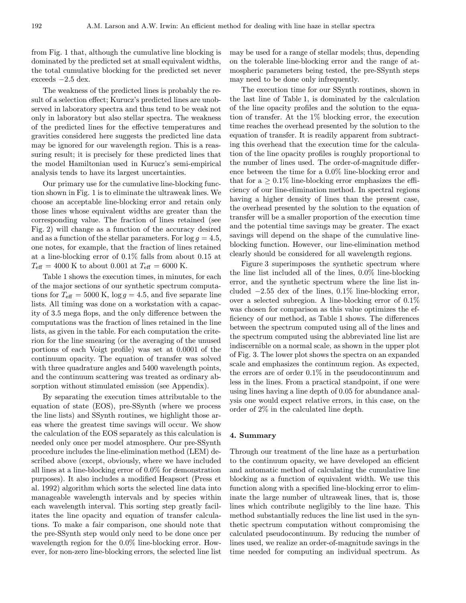from Fig. 1 that, although the cumulative line blocking is dominated by the predicted set at small equivalent widths, the total cumulative blocking for the predicted set never exceeds  $-2.5$  dex.

The weakness of the predicted lines is probably the result of a selection effect; Kurucz's predicted lines are unobserved in laboratory spectra and thus tend to be weak not only in laboratory but also stellar spectra. The weakness of the predicted lines for the effective temperatures and gravities considered here suggests the predicted line data may be ignored for our wavelength region. This is a reassuring result; it is precisely for these predicted lines that the model Hamiltonian used in Kurucz's semi-empirical analysis tends to have its largest uncertainties.

Our primary use for the cumulative line-blocking function shown in Fig. 1 is to eliminate the ultraweak lines. We choose an acceptable line-blocking error and retain only those lines whose equivalent widths are greater than the corresponding value. The fraction of lines retained (see Fig. 2) will change as a function of the accuracy desired and as a function of the stellar parameters. For  $\log g = 4.5$ , one notes, for example, that the fraction of lines retained at a line-blocking error of 0.1% falls from about 0.15 at  $T_{\text{eff}} = 4000 \text{ K}$  to about 0.001 at  $T_{\text{eff}} = 6000 \text{ K}$ .

Table 1 shows the execution times, in minutes, for each of the major sections of our synthetic spectrum computations for  $T_{\text{eff}} = 5000 \text{ K}$ ,  $\log g = 4.5$ , and five separate line lists. All timing was done on a workstation with a capacity of 3.5 mega flops, and the only difference between the computations was the fraction of lines retained in the line lists, as given in the table. For each computation the criterion for the line smearing (or the averaging of the unused portions of each Voigt profile) was set at 0.0001 of the continuum opacity. The equation of transfer was solved with three quadrature angles and 5400 wavelength points, and the continuum scattering was treated as ordinary absorption without stimulated emission (see Appendix).

By separating the execution times attributable to the equation of state (EOS), pre-SSynth (where we process the line lists) and SSynth routines, we highlight those areas where the greatest time savings will occur. We show the calculation of the EOS separately as this calculation is needed only once per model atmosphere. Our pre-SSynth procedure includes the line-elimination method (LEM) described above (except, obviously, where we have included all lines at a line-blocking error of 0.0% for demonstration purposes). It also includes a modified Heapsort (Press et al. 1992) algorithm which sorts the selected line data into manageable wavelength intervals and by species within each wavelength interval. This sorting step greatly facilitates the line opacity and equation of transfer calculations. To make a fair comparison, one should note that the pre-SSynth step would only need to be done once per wavelength region for the 0.0% line-blocking error. However, for non-zero line-blocking errors, the selected line list may be used for a range of stellar models; thus, depending on the tolerable line-blocking error and the range of atmospheric parameters being tested, the pre-SSynth steps may need to be done only infrequently.

The execution time for our SSynth routines, shown in the last line of Table 1, is dominated by the calculation of the line opacity profiles and the solution to the equation of transfer. At the 1% blocking error, the execution time reaches the overhead presented by the solution to the equation of transfer. It is readily apparent from subtracting this overhead that the execution time for the calculation of the line opacity profiles is roughly proportional to the number of lines used. The order-of-magnitude difference between the time for a 0.0% line-blocking error and that for  $a \geq 0.1\%$  line-blocking error emphasizes the efficiency of our line-elimination method. In spectral regions having a higher density of lines than the present case, the overhead presented by the solution to the equation of transfer will be a smaller proportion of the execution time and the potential time savings may be greater. The exact savings will depend on the shape of the cumulative lineblocking function. However, our line-elimination method clearly should be considered for all wavelength regions.

Figure 3 superimposes the synthetic spectrum where the line list included all of the lines, 0.0% line-blocking error, and the synthetic spectrum where the line list included  $-2.55$  dex of the lines,  $0.1\%$  line-blocking error, over a selected subregion. A line-blocking error of 0.1% was chosen for comparison as this value optimizes the efficiency of our method, as Table 1 shows. The differences between the spectrum computed using all of the lines and the spectrum computed using the abbreviated line list are indiscernible on a normal scale, as shown in the upper plot of Fig. 3. The lower plot shows the spectra on an expanded scale and emphasizes the continuum region. As expected, the errors are of order 0.1% in the pseudocontinuum and less in the lines. From a practical standpoint, if one were using lines having a line depth of 0.05 for abundance analysis one would expect relative errors, in this case, on the order of 2% in the calculated line depth.

# 4. Summary

Through our treatment of the line haze as a perturbation to the continuum opacity, we have developed an efficient and automatic method of calculating the cumulative line blocking as a function of equivalent width. We use this function along with a specified line-blocking error to eliminate the large number of ultraweak lines, that is, those lines which contribute negligibly to the line haze. This method substantially reduces the line list used in the synthetic spectrum computation without compromising the calculated pseudocontinuum. By reducing the number of lines used, we realize an order-of-magnitude savings in the time needed for computing an individual spectrum. As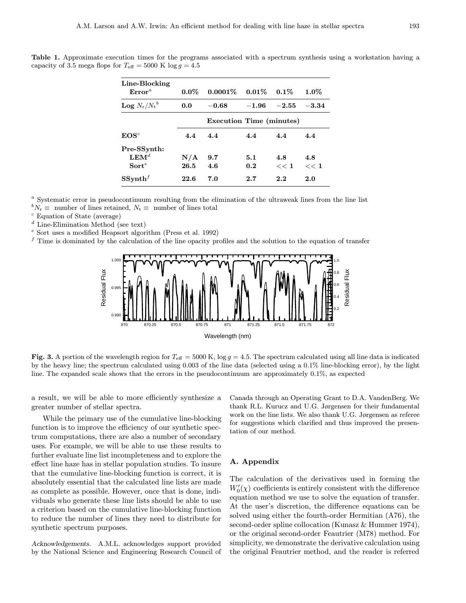Table 1. Approximate execution times for the programs associated with a spectrum synthesis using a workstation having a capacity of 3.5 mega flops for  $T_{\text{eff}} = 5000 \text{ K} \log g = 4.5$ 

| Line-Blocking<br>$\text{Error}^a$                  | $0.0\%$                         | $0.0001\%$ | $0.01\%$   | $0.1\%$     | $1.0\%$     |
|----------------------------------------------------|---------------------------------|------------|------------|-------------|-------------|
| $\text{Log } N_r / N_t^b$                          | 0.0                             | $-0.68$    | $-1.96$    | $-2.55$     | $-3.34$     |
|                                                    | <b>Execution Time (minutes)</b> |            |            |             |             |
| EOS <sup>c</sup>                                   | 4.4                             | 4.4        | 4.4        | 4.4         | 4.4         |
| Pre-SSynth:<br>$\mathbf{LEM}^d$<br>$\text{Sort}^e$ | N/A<br>26.5                     | 9.7<br>4.6 | 5.1<br>0.2 | 4.8<br><< 1 | 4.8<br><< 1 |
| SSynth <sup>f</sup>                                | 22.6                            | 7.0        | 2.7        | $2.2\,$     | 2.0         |

<sup>a</sup> Systematic error in pseudocontinuum resulting from the elimination of the ultraweak lines from the line list

 ${}^bN_r \equiv$  number of lines retained,  $N_t ≡$  number of lines total  ${}^c$  Equation of State (average)

 $d$  Line-Elimination Method (see text)

 $e$  Sort uses a modified Heapsort algorithm (Press et al. 1992)

f Time is dominated by the calculation of the line opacity profiles and the solution to the equation of transfer



Fig. 3. A portion of the wavelength region for  $T_{\text{eff}} = 5000 \text{ K}$ ,  $\log g = 4.5$ . The spectrum calculated using all line data is indicated by the heavy line; the spectrum calculated using 0.003 of the line data (selected using a 0.1% line-blocking error), by the light line. The expanded scale shows that the errors in the pseudocontinuum are approximately 0.1%, as expected

a result, we will be able to more efficiently synthesize a greater number of stellar spectra.

While the primary use of the cumulative line-blocking function is to improve the efficiency of our synthetic spectrum computations, there are also a number of secondary uses. For example, we will be able to use these results to further evaluate line list incompleteness and to explore the effect line haze has in stellar population studies. To insure that the cumulative line-blocking function is correct, it is absolutely essential that the calculated line lists are made as complete as possible. However, once that is done, individuals who generate these line lists should be able to use a criterion based on the cumulative line-blocking function to reduce the number of lines they need to distribute for synthetic spectrum purposes.

Acknowledgements. A.M.L. acknowledges support provided by the National Science and Engineering Research Council of Canada through an Operating Grant to D.A. VandenBerg. We thank R.L. Kurucz and U.G. Jørgensen for their fundamental work on the line lists. We also thank U.G. Jørgensen as referee for suggestions which clarified and thus improved the presentation of our method.

# A. Appendix

The calculation of the derivatives used in forming the  $W_0'(\chi)$  coefficients is entirely consistent with the difference equation method we use to solve the equation of transfer. At the user's discretion, the difference equations can be solved using either the fourth-order Hermitian (A76), the second-order spline collocation (Kunasz & Hummer 1974), or the original second-order Feautrier (M78) method. For simplicity, we demonstrate the derivative calculation using the original Feautrier method, and the reader is referred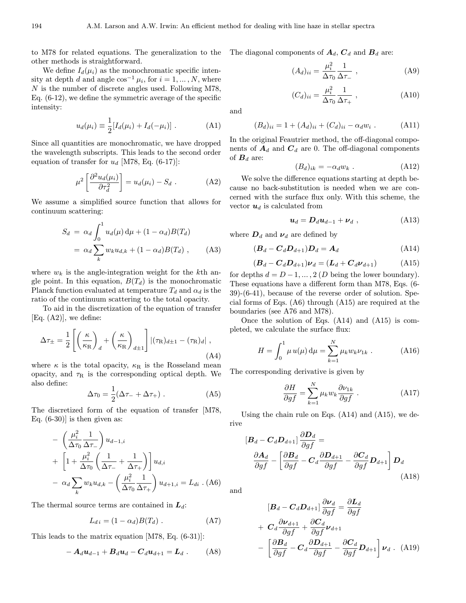to M78 for related equations. The generalization to the other methods is straightforward.

We define  $I_d(\mu_i)$  as the monochromatic specific intensity at depth d and angle  $\cos^{-1} \mu_i$ , for  $i = 1, ..., N$ , where  $N$  is the number of discrete angles used. Following M78, Eq. (6-12), we define the symmetric average of the specific intensity:

$$
u_d(\mu_i) \equiv \frac{1}{2} [I_d(\mu_i) + I_d(-\mu_i)] .
$$
 (A1)

Since all quantities are monochromatic, we have dropped the wavelength subscripts. This leads to the second order equation of transfer for  $u_d$  [M78, Eq. (6-17)]:

$$
\mu^2 \left[ \frac{\partial^2 u_d(\mu_i)}{\partial \tau_d^2} \right] = u_d(\mu_i) - S_d . \tag{A2}
$$

We assume a simplified source function that allows for continuum scattering:

$$
S_d = \alpha_d \int_0^1 u_d(\mu) d\mu + (1 - \alpha_d) B(T_d)
$$
  
=  $\alpha_d \sum_k w_k u_{d,k} + (1 - \alpha_d) B(T_d)$ , (A3)

where  $w_k$  is the angle-integration weight for the kth angle point. In this equation,  $B(T_d)$  is the monochromatic Planck function evaluated at temperature  $T_d$  and  $\alpha_d$  is the ratio of the continuum scattering to the total opacity.

To aid in the discretization of the equation of transfer  $[Eq. (A2)],$  we define:

$$
\Delta \tau_{\pm} = \frac{1}{2} \left[ \left( \frac{\kappa}{\kappa_{\rm R}} \right)_d + \left( \frac{\kappa}{\kappa_{\rm R}} \right)_{d \pm 1} \right] |(\tau_{\rm R})_{d \pm 1} - (\tau_{\rm R})_d| , \tag{A4}
$$

where  $\kappa$  is the total opacity,  $\kappa_R$  is the Rosseland mean opacity, and  $\tau_{\rm R}$  is the corresponding optical depth. We also define:

$$
\Delta \tau_0 = \frac{1}{2} (\Delta \tau_- + \Delta \tau_+) \ . \tag{A5}
$$

The discretized form of the equation of transfer [M78, Eq.  $(6-30)$  is then given as:

$$
- \left(\frac{\mu_i^2}{\Delta \tau_0} \frac{1}{\Delta \tau_-}\right) u_{d-1,i}
$$
  
+ 
$$
\left[1 + \frac{\mu_i^2}{\Delta \tau_0} \left(\frac{1}{\Delta \tau_-} + \frac{1}{\Delta \tau_+}\right)\right] u_{d,i}
$$
  
- 
$$
\alpha_d \sum_k w_k u_{d,k} - \left(\frac{\mu_i^2}{\Delta \tau_0} \frac{1}{\Delta \tau_+}\right) u_{d+1,i} = L_{di} \ . \ (A6)
$$

The thermal source terms are contained in  $L_d$ :

$$
L_{d i} = (1 - \alpha_d) B(T_d) . \tag{A7}
$$

This leads to the matrix equation [M78, Eq. (6-31)]:

$$
-\boldsymbol{A}_d \boldsymbol{u}_{d-1} + \boldsymbol{B}_d \boldsymbol{u}_d - \boldsymbol{C}_d \boldsymbol{u}_{d+1} = \boldsymbol{L}_d . \qquad (A8)
$$

The diagonal components of  $A_d$ ,  $C_d$  and  $B_d$  are:

$$
(A_d)_{ii} = \frac{\mu_i^2}{\Delta \tau_0} \frac{1}{\Delta \tau_-} \,, \tag{A9}
$$

$$
(C_d)_{ii} = \frac{\mu_i^2}{\Delta \tau_0} \frac{1}{\Delta \tau_+} \,, \tag{A10}
$$

and

$$
(B_d)_{ii} = 1 + (A_d)_{ii} + (C_d)_{ii} - \alpha_d w_i . \tag{A11}
$$

In the original Feautrier method, the off-diagonal components of  $A_d$  and  $C_d$  are 0. The off-diagonal components of  $B_d$  are:

$$
(B_d)_{ik} = -\alpha_d w_k . \qquad (A12)
$$

We solve the difference equations starting at depth because no back-substitution is needed when we are concerned with the surface flux only. With this scheme, the vector  $u_d$  is calculated from

$$
\boldsymbol{u}_d = \boldsymbol{D}_d \boldsymbol{u}_{d-1} + \boldsymbol{\nu}_d \;, \tag{A13}
$$

where  $\mathbf{D}_d$  and  $\mathbf{v}_d$  are defined by

$$
(\boldsymbol{B}_d - \boldsymbol{C}_d \boldsymbol{D}_{d+1}) \boldsymbol{D}_d = \boldsymbol{A}_d \tag{A14}
$$

$$
(\boldsymbol{B}_d - \boldsymbol{C}_d \boldsymbol{D}_{d+1}) \boldsymbol{\nu}_d = (\boldsymbol{L}_d + \boldsymbol{C}_d \boldsymbol{\nu}_{d+1})
$$
 (A15)

for depths  $d = D - 1, ..., 2$  (D being the lower boundary). These equations have a different form than M78, Eqs. (6- 39)-(6-41), because of the reverse order of solution. Special forms of Eqs. (A6) through (A15) are required at the boundaries (see A76 and M78).

Once the solution of Eqs. (A14) and (A15) is completed, we calculate the surface flux:

$$
H = \int_0^1 \mu \, u(\mu) \, \mathrm{d}\mu = \sum_{k=1}^N \mu_k w_k \nu_{1k} \,. \tag{A16}
$$

The corresponding derivative is given by

$$
\frac{\partial H}{\partial gf} = \sum_{k=1}^{N} \mu_k w_k \frac{\partial \nu_{1k}}{\partial gf} .
$$
 (A17)

Using the chain rule on Eqs. (A14) and (A15), we derive

$$
\begin{aligned} \left[\mathbf{B}_d - \mathbf{C}_d \mathbf{D}_{d+1}\right] \frac{\partial \mathbf{D}_d}{\partial g f} &= \\ \frac{\partial \mathbf{A}_d}{\partial g f} - \left[\frac{\partial \mathbf{B}_d}{\partial g f} - \mathbf{C}_d \frac{\partial \mathbf{D}_{d+1}}{\partial g f} - \frac{\partial \mathbf{C}_d}{\partial g f} \mathbf{D}_{d+1}\right] \mathbf{D}_d \end{aligned} \tag{A18}
$$

and

$$
\begin{aligned}\n\left[\mathbf{B}_d - \mathbf{C}_d \mathbf{D}_{d+1}\right] \frac{\partial \nu_d}{\partial g f} &= \frac{\partial \mathbf{L}_d}{\partial g f} \\
+ \mathbf{C}_d \frac{\partial \nu_{d+1}}{\partial g f} + \frac{\partial \mathbf{C}_d}{\partial g f} \nu_{d+1} \\
- \left[\frac{\partial \mathbf{B}_d}{\partial g f} - \mathbf{C}_d \frac{\partial \mathbf{D}_{d+1}}{\partial g f} - \frac{\partial \mathbf{C}_d}{\partial g f} \mathbf{D}_{d+1}\right] \nu_d \ . \quad \text{(A19)}\n\end{aligned}
$$